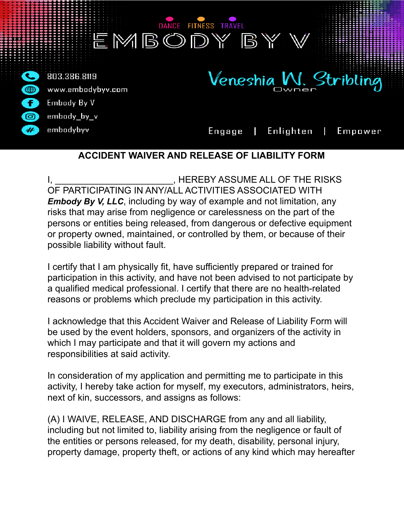

### **ACCIDENT WAIVER AND RELEASE OF LIABILITY FORM**

, HEREBY ASSUME ALL OF THE RISKS OF PARTICIPATING IN ANY/ALL ACTIVITIES ASSOCIATED WITH *Embody By V, LLC*, including by way of example and not limitation, any risks that may arise from negligence or carelessness on the part of the persons or entities being released, from dangerous or defective equipment or property owned, maintained, or controlled by them, or because of their possible liability without fault.

I certify that I am physically fit, have sufficiently prepared or trained for participation in this activity, and have not been advised to not participate by a qualified medical professional. I certify that there are no health-related reasons or problems which preclude my participation in this activity.

I acknowledge that this Accident Waiver and Release of Liability Form will be used by the event holders, sponsors, and organizers of the activity in which I may participate and that it will govern my actions and responsibilities at said activity.

In consideration of my application and permitting me to participate in this activity, I hereby take action for myself, my executors, administrators, heirs, next of kin, successors, and assigns as follows:

(A) I WAIVE, RELEASE, AND DISCHARGE from any and all liability, including but not limited to, liability arising from the negligence or fault of the entities or persons released, for my death, disability, personal injury, property damage, property theft, or actions of any kind which may hereafter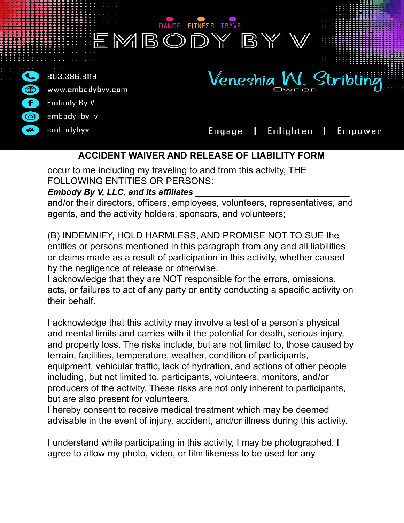

# **ACCIDENT WAIVER AND RELEASE OF LIABILITY FORM**

occur to me including my traveling to and from this activity, THE FOLLOWING ENTITIES OR PERSONS:

#### *Embody By V, LLC, and its affiliates*

and/or their directors, officers, employees, volunteers, representatives, and agents, and the activity holders, sponsors, and volunteers;

(B) INDEMNIFY, HOLD HARMLESS, AND PROMISE NOT TO SUE the entities or persons mentioned in this paragraph from any and all liabilities or claims made as a result of participation in this activity, whether caused by the negligence of release or otherwise.

I acknowledge that they are NOT responsible for the errors, omissions, acts, or failures to act of any party or entity conducting a specific activity on their behalf.

I acknowledge that this activity may involve a test of a person's physical and mental limits and carries with it the potential for death, serious injury, and property loss. The risks include, but are not limited to, those caused by terrain, facilities, temperature, weather, condition of participants, equipment, vehicular traffic, lack of hydration, and actions of other people including, but not limited to, participants, volunteers, monitors, and/or producers of the activity. These risks are not only inherent to participants, but are also present for volunteers.

I hereby consent to receive medical treatment which may be deemed advisable in the event of injury, accident, and/or illness during this activity.

I understand while participating in this activity, I may be photographed. I agree to allow my photo, video, or film likeness to be used for any